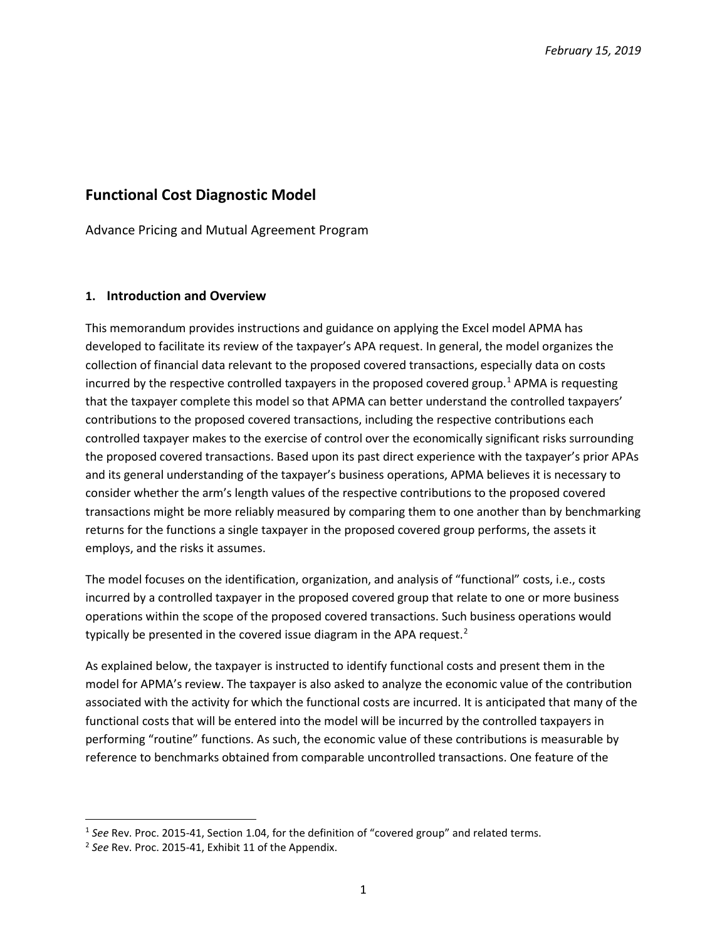# **Functional Cost Diagnostic Model**

Advance Pricing and Mutual Agreement Program

#### **1. Introduction and Overview**

This memorandum provides instructions and guidance on applying the Excel model APMA has developed to facilitate its review of the taxpayer's APA request. In general, the model organizes the collection of financial data relevant to the proposed covered transactions, especially data on costs incurred by the respective controlled taxpayers in the proposed covered group.<sup>[1](#page-0-0)</sup> APMA is requesting that the taxpayer complete this model so that APMA can better understand the controlled taxpayers' contributions to the proposed covered transactions, including the respective contributions each controlled taxpayer makes to the exercise of control over the economically significant risks surrounding the proposed covered transactions. Based upon its past direct experience with the taxpayer's prior APAs and its general understanding of the taxpayer's business operations, APMA believes it is necessary to consider whether the arm's length values of the respective contributions to the proposed covered transactions might be more reliably measured by comparing them to one another than by benchmarking returns for the functions a single taxpayer in the proposed covered group performs, the assets it employs, and the risks it assumes.

The model focuses on the identification, organization, and analysis of "functional" costs, i.e., costs incurred by a controlled taxpayer in the proposed covered group that relate to one or more business operations within the scope of the proposed covered transactions. Such business operations would typically be presented in the covered issue diagram in the APA request.<sup>[2](#page-0-1)</sup>

As explained below, the taxpayer is instructed to identify functional costs and present them in the model for APMA's review. The taxpayer is also asked to analyze the economic value of the contribution associated with the activity for which the functional costs are incurred. It is anticipated that many of the functional costs that will be entered into the model will be incurred by the controlled taxpayers in performing "routine" functions. As such, the economic value of these contributions is measurable by reference to benchmarks obtained from comparable uncontrolled transactions. One feature of the

<span id="page-0-0"></span><sup>&</sup>lt;sup>1</sup> See Rev. Proc. 2015-41, Section 1.04, for the definition of "covered group" and related terms.<br><sup>2</sup> See Rev. Proc. 2015-41, Exhibit 11 of the Appendix.

<span id="page-0-1"></span>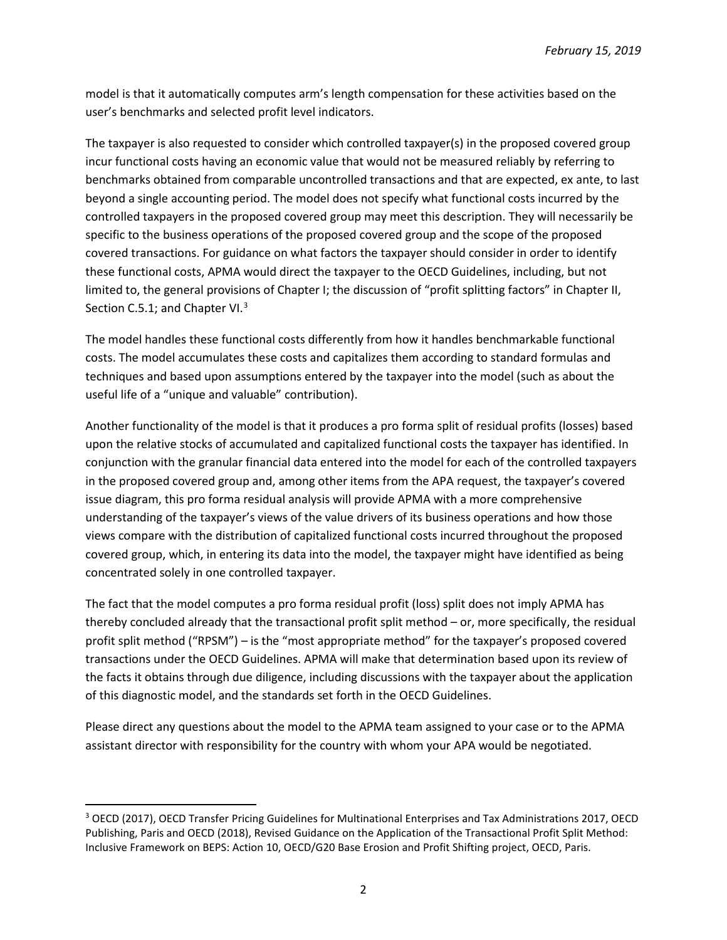model is that it automatically computes arm's length compensation for these activities based on the user's benchmarks and selected profit level indicators.

The taxpayer is also requested to consider which controlled taxpayer(s) in the proposed covered group incur functional costs having an economic value that would not be measured reliably by referring to benchmarks obtained from comparable uncontrolled transactions and that are expected, ex ante, to last beyond a single accounting period. The model does not specify what functional costs incurred by the controlled taxpayers in the proposed covered group may meet this description. They will necessarily be specific to the business operations of the proposed covered group and the scope of the proposed covered transactions. For guidance on what factors the taxpayer should consider in order to identify these functional costs, APMA would direct the taxpayer to the OECD Guidelines, including, but not limited to, the general provisions of Chapter I; the discussion of "profit splitting factors" in Chapter II, Section C.5.1; and Chapter VI.<sup>[3](#page-1-0)</sup>

The model handles these functional costs differently from how it handles benchmarkable functional costs. The model accumulates these costs and capitalizes them according to standard formulas and techniques and based upon assumptions entered by the taxpayer into the model (such as about the useful life of a "unique and valuable" contribution).

Another functionality of the model is that it produces a pro forma split of residual profits (losses) based upon the relative stocks of accumulated and capitalized functional costs the taxpayer has identified. In conjunction with the granular financial data entered into the model for each of the controlled taxpayers in the proposed covered group and, among other items from the APA request, the taxpayer's covered issue diagram, this pro forma residual analysis will provide APMA with a more comprehensive understanding of the taxpayer's views of the value drivers of its business operations and how those views compare with the distribution of capitalized functional costs incurred throughout the proposed covered group, which, in entering its data into the model, the taxpayer might have identified as being concentrated solely in one controlled taxpayer.

The fact that the model computes a pro forma residual profit (loss) split does not imply APMA has thereby concluded already that the transactional profit split method – or, more specifically, the residual profit split method ("RPSM") – is the "most appropriate method" for the taxpayer's proposed covered transactions under the OECD Guidelines. APMA will make that determination based upon its review of the facts it obtains through due diligence, including discussions with the taxpayer about the application of this diagnostic model, and the standards set forth in the OECD Guidelines.

Please direct any questions about the model to the APMA team assigned to your case or to the APMA assistant director with responsibility for the country with whom your APA would be negotiated.

<span id="page-1-0"></span> <sup>3</sup> OECD (2017), OECD Transfer Pricing Guidelines for Multinational Enterprises and Tax Administrations 2017, OECD Publishing, Paris and OECD (2018), Revised Guidance on the Application of the Transactional Profit Split Method: Inclusive Framework on BEPS: Action 10, OECD/G20 Base Erosion and Profit Shifting project, OECD, Paris.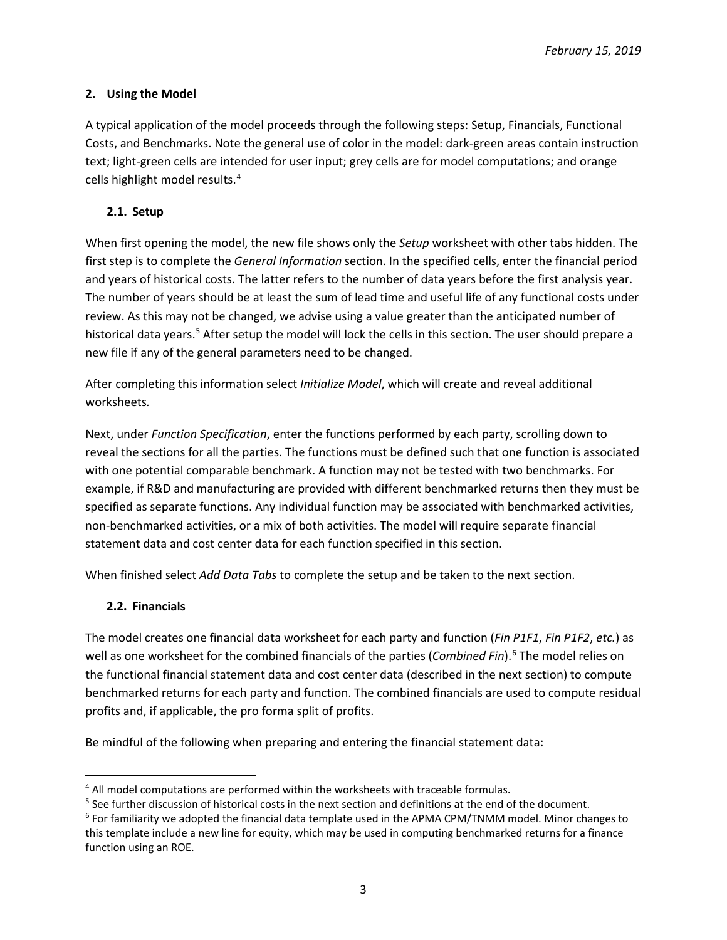## **2. Using the Model**

A typical application of the model proceeds through the following steps: Setup, Financials, Functional Costs, and Benchmarks. Note the general use of color in the model: dark-green areas contain instruction text; light-green cells are intended for user input; grey cells are for model computations; and orange cells highlight model results. [4](#page-2-0)

## **2.1. Setup**

When first opening the model, the new file shows only the *Setup* worksheet with other tabs hidden. The first step is to complete the *General Information* section. In the specified cells, enter the financial period and years of historical costs. The latter refers to the number of data years before the first analysis year. The number of years should be at least the sum of lead time and useful life of any functional costs under review. As this may not be changed, we advise using a value greater than the anticipated number of historical data years.<sup>[5](#page-2-1)</sup> After setup the model will lock the cells in this section. The user should prepare a new file if any of the general parameters need to be changed.

After completing this information select *Initialize Model*, which will create and reveal additional worksheets*.*

Next, under *Function Specification*, enter the functions performed by each party, scrolling down to reveal the sections for all the parties. The functions must be defined such that one function is associated with one potential comparable benchmark. A function may not be tested with two benchmarks. For example, if R&D and manufacturing are provided with different benchmarked returns then they must be specified as separate functions. Any individual function may be associated with benchmarked activities, non-benchmarked activities, or a mix of both activities. The model will require separate financial statement data and cost center data for each function specified in this section.

When finished select *Add Data Tabs* to complete the setup and be taken to the next section.

## **2.2. Financials**

The model creates one financial data worksheet for each party and function (*Fin P1F1*, *Fin P1F2*, *etc.*) as well as one worksheet for the combined financials of the parties (*Combined Fin*). [6](#page-2-2) The model relies on the functional financial statement data and cost center data (described in the next section) to compute benchmarked returns for each party and function. The combined financials are used to compute residual profits and, if applicable, the pro forma split of profits.

Be mindful of the following when preparing and entering the financial statement data:

<span id="page-2-0"></span><sup>&</sup>lt;sup>4</sup> All model computations are performed within the worksheets with traceable formulas.

<span id="page-2-1"></span><sup>&</sup>lt;sup>5</sup> See further discussion of historical costs in the next section and definitions at the end of the document.

<span id="page-2-2"></span><sup>6</sup> For familiarity we adopted the financial data template used in the APMA CPM/TNMM model. Minor changes to this template include a new line for equity, which may be used in computing benchmarked returns for a finance function using an ROE.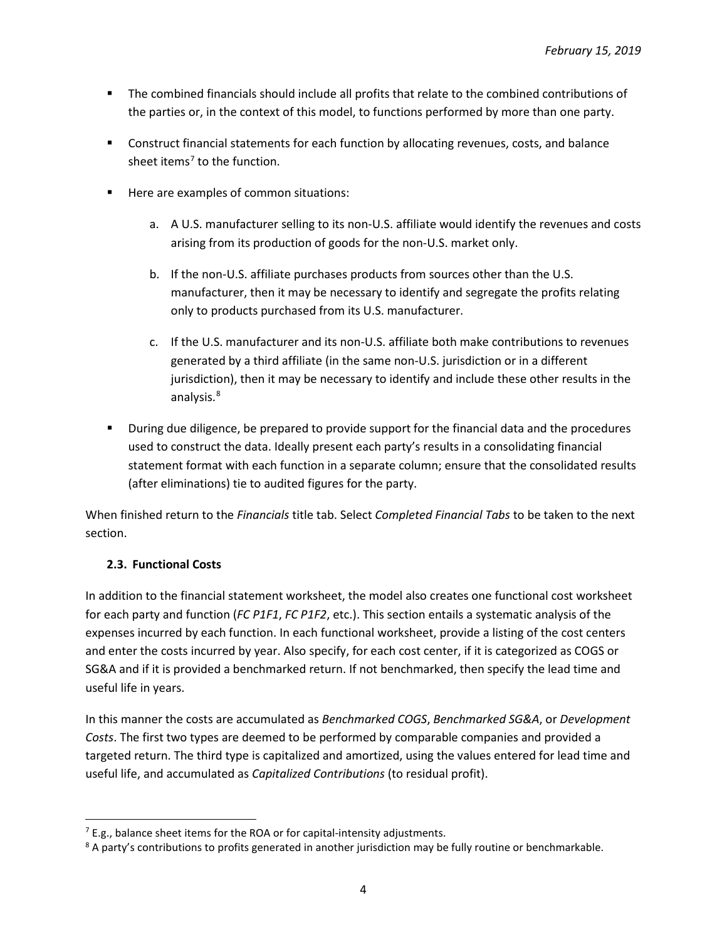- The combined financials should include all profits that relate to the combined contributions of the parties or, in the context of this model, to functions performed by more than one party.
- **Construct financial statements for each function by allocating revenues, costs, and balance** sheet items<sup>7</sup> to the function.
- **Here are examples of common situations:** 
	- a. A U.S. manufacturer selling to its non-U.S. affiliate would identify the revenues and costs arising from its production of goods for the non-U.S. market only.
	- b. If the non-U.S. affiliate purchases products from sources other than the U.S. manufacturer, then it may be necessary to identify and segregate the profits relating only to products purchased from its U.S. manufacturer.
	- c. If the U.S. manufacturer and its non-U.S. affiliate both make contributions to revenues generated by a third affiliate (in the same non-U.S. jurisdiction or in a different jurisdiction), then it may be necessary to identify and include these other results in the analysis.<sup>[8](#page-3-1)</sup>
- **During due diligence, be prepared to provide support for the financial data and the procedures** used to construct the data. Ideally present each party's results in a consolidating financial statement format with each function in a separate column; ensure that the consolidated results (after eliminations) tie to audited figures for the party.

When finished return to the *Financials* title tab. Select *Completed Financial Tabs* to be taken to the next section.

## **2.3. Functional Costs**

In addition to the financial statement worksheet, the model also creates one functional cost worksheet for each party and function (*FC P1F1*, *FC P1F2*, etc.). This section entails a systematic analysis of the expenses incurred by each function. In each functional worksheet, provide a listing of the cost centers and enter the costs incurred by year. Also specify, for each cost center, if it is categorized as COGS or SG&A and if it is provided a benchmarked return. If not benchmarked, then specify the lead time and useful life in years.

In this manner the costs are accumulated as *Benchmarked COGS*, *Benchmarked SG&A*, or *Development Costs*. The first two types are deemed to be performed by comparable companies and provided a targeted return. The third type is capitalized and amortized, using the values entered for lead time and useful life, and accumulated as *Capitalized Contributions* (to residual profit).

<span id="page-3-0"></span> $7$  E.g., balance sheet items for the ROA or for capital-intensity adjustments.

<span id="page-3-1"></span><sup>&</sup>lt;sup>8</sup> A party's contributions to profits generated in another jurisdiction may be fully routine or benchmarkable.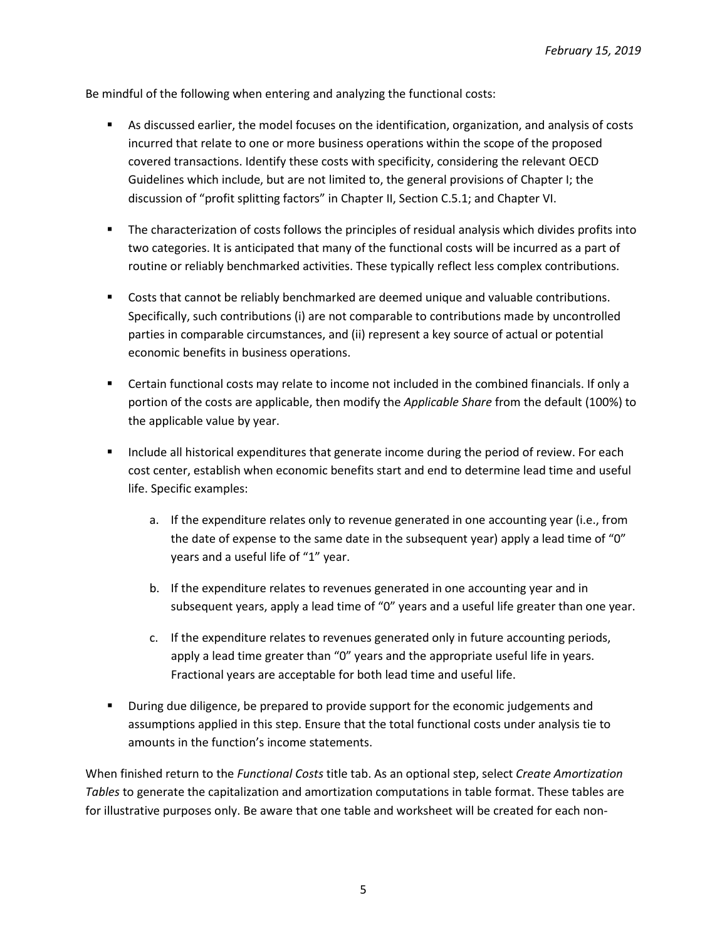Be mindful of the following when entering and analyzing the functional costs:

- As discussed earlier, the model focuses on the identification, organization, and analysis of costs incurred that relate to one or more business operations within the scope of the proposed covered transactions. Identify these costs with specificity, considering the relevant OECD Guidelines which include, but are not limited to, the general provisions of Chapter I; the discussion of "profit splitting factors" in Chapter II, Section C.5.1; and Chapter VI.
- The characterization of costs follows the principles of residual analysis which divides profits into two categories. It is anticipated that many of the functional costs will be incurred as a part of routine or reliably benchmarked activities. These typically reflect less complex contributions.
- **Costs that cannot be reliably benchmarked are deemed unique and valuable contributions.** Specifically, such contributions (i) are not comparable to contributions made by uncontrolled parties in comparable circumstances, and (ii) represent a key source of actual or potential economic benefits in business operations.
- Certain functional costs may relate to income not included in the combined financials. If only a portion of the costs are applicable, then modify the *Applicable Share* from the default (100%) to the applicable value by year.
- **Include all historical expenditures that generate income during the period of review. For each** cost center, establish when economic benefits start and end to determine lead time and useful life. Specific examples:
	- a. If the expenditure relates only to revenue generated in one accounting year (i.e., from the date of expense to the same date in the subsequent year) apply a lead time of "0" years and a useful life of "1" year.
	- b. If the expenditure relates to revenues generated in one accounting year and in subsequent years, apply a lead time of "0" years and a useful life greater than one year.
	- c. If the expenditure relates to revenues generated only in future accounting periods, apply a lead time greater than "0" years and the appropriate useful life in years. Fractional years are acceptable for both lead time and useful life.
- **During due diligence, be prepared to provide support for the economic judgements and** assumptions applied in this step. Ensure that the total functional costs under analysis tie to amounts in the function's income statements.

When finished return to the *Functional Costs* title tab. As an optional step, select *Create Amortization Tables* to generate the capitalization and amortization computations in table format. These tables are for illustrative purposes only. Be aware that one table and worksheet will be created for each non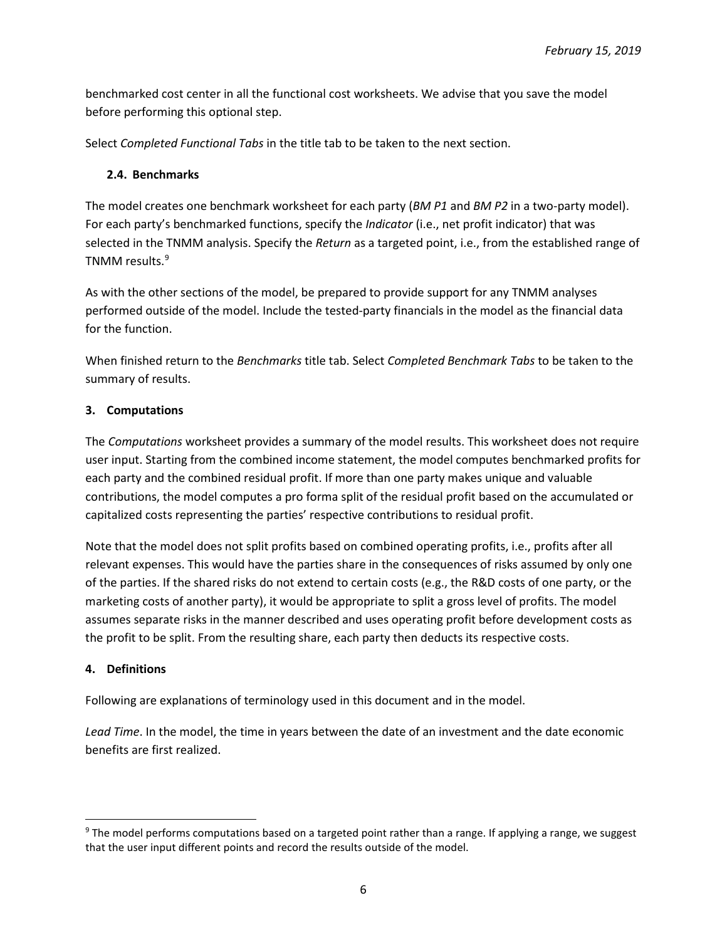benchmarked cost center in all the functional cost worksheets. We advise that you save the model before performing this optional step.

Select *Completed Functional Tabs* in the title tab to be taken to the next section.

#### **2.4. Benchmarks**

The model creates one benchmark worksheet for each party (*BM P1* and *BM P2* in a two-party model). For each party's benchmarked functions, specify the *Indicator* (i.e., net profit indicator) that was selected in the TNMM analysis. Specify the *Return* as a targeted point, i.e., from the established range of TNMM results. [9](#page-5-0)

As with the other sections of the model, be prepared to provide support for any TNMM analyses performed outside of the model. Include the tested-party financials in the model as the financial data for the function.

When finished return to the *Benchmarks* title tab. Select *Completed Benchmark Tabs* to be taken to the summary of results.

#### **3. Computations**

The *Computations* worksheet provides a summary of the model results. This worksheet does not require user input. Starting from the combined income statement, the model computes benchmarked profits for each party and the combined residual profit. If more than one party makes unique and valuable contributions, the model computes a pro forma split of the residual profit based on the accumulated or capitalized costs representing the parties' respective contributions to residual profit.

Note that the model does not split profits based on combined operating profits, i.e., profits after all relevant expenses. This would have the parties share in the consequences of risks assumed by only one of the parties. If the shared risks do not extend to certain costs (e.g., the R&D costs of one party, or the marketing costs of another party), it would be appropriate to split a gross level of profits. The model assumes separate risks in the manner described and uses operating profit before development costs as the profit to be split. From the resulting share, each party then deducts its respective costs.

## **4. Definitions**

Following are explanations of terminology used in this document and in the model.

*Lead Time*. In the model, the time in years between the date of an investment and the date economic benefits are first realized.

<span id="page-5-0"></span><sup>&</sup>lt;sup>9</sup> The model performs computations based on a targeted point rather than a range. If applying a range, we suggest that the user input different points and record the results outside of the model.